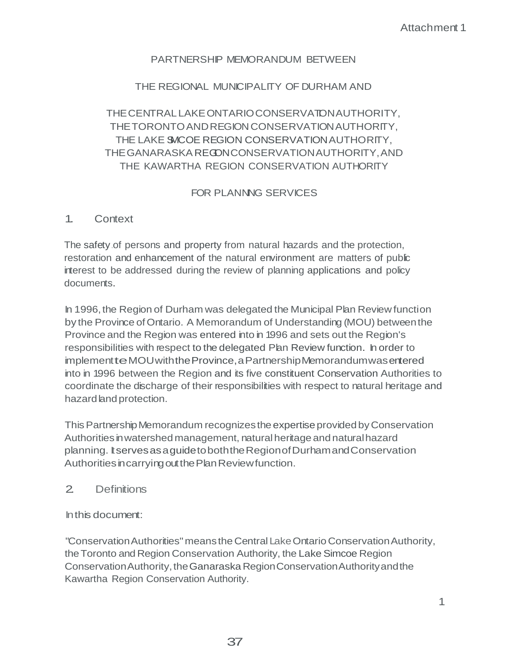### PARTNERSHIP MEMORANDUM BETWEEN

### THE REGIONAL MUNICIPALITY OF DURHAM AND

# THE CENTRAL LAKE ONTARIO CONSERVATION AUTHORITY, THETORONTOANDREGIONCONSERVATIONAUTHORITY, THE LAKE SMCOE REGION CONSERVATION AUTHORITY, THE GANARASKA REGONCONSERVATION AUTHORITY, AND THE KAWARTHA REGION CONSERVATION AUTHORITY

# FOR PLANNING SERVICES

### 1. Context

The safety.of persons and property from natural hazards and the protection, restoration and enhancement of the natural environment are matters of public interest to be addressed during the review of planning applications and policy documents.

In 1996,the Region of Durham was delegated the Municipal Plan Review function by the Province of Ontario. A Memorandum of Understanding (MOU) betweenthe Province and the Region was entered into in 1996 and sets out the Region's responsibilities with respect to the delegated Plan Review function. In order to implementteMOUwiththeProvince,aPartnershipMemorandumwasentered into in 1996 between the Region and its five constituent Conservation Authorities to coordinate the discharge of their responsibilities with respect to natural heritage and hazard land protection.

This Partnership Memorandum recognizes the expertise provided by Conservation Authorities inwatershed management, naturalheritageandnaturalhazard planning. ItservesasaguidetoboththeRegionofDurhamandConservation Authorities in carrying out the Plan Review function.

#### 2. Definitions

Inthis document:

"Conservation Authorities" means the Central Lake Ontario Conservation Authority, theToronto and Region Conservation Authority, the Lake Simcoe Region Conservation Authority, the Ganaraska Region Conservation Authority and the Kawartha Region Conservation Authority.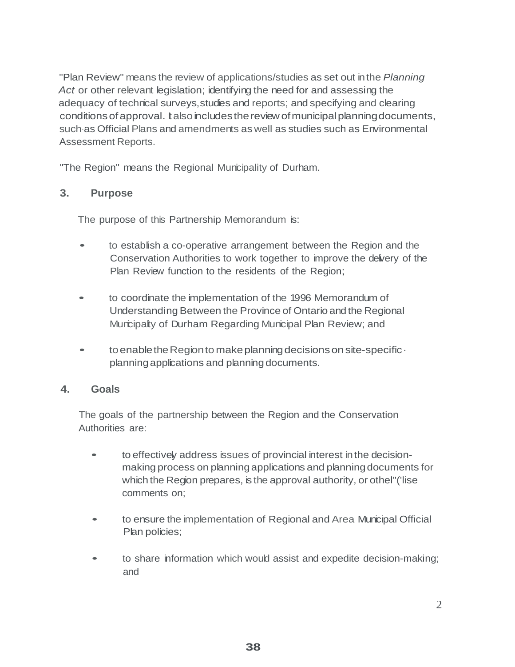"Plan Review" means the review of applications/studies as set out inthe *Planning Act* or other relevant legislation; identifying the need for and assessing the adequacy of technical surveys,studies and reports; and specifying and clearing conditions of approval. It also includes the review of municipal planning documents, such·as Official Plans and amendments as well as studies such as Environmental Assessment Reports.

"The Region" means the Regional Municipality of Durham.

### **3. Purpose**

The purpose of this Partnership Memorandum is:

- to establish <sup>a</sup> co-operative arrangement between the Region and the Conservation Authorities to work together to improve the delvery of the Plan Review function to the residents of the Region;
- to coordinate the implementation of the <sup>1996</sup> Memorandum of Understanding Between the Province of Ontario and the Regional Muncipally of Durham Regarding Municipal Plan Review; and
- to enable the Region to make planning decisions on site-specific · planningapplications and planningdocuments.

### **4. Goals**

The goals of the partnership between the Region and the Conservation Authorities are:

- to effectively address issues of provincial interest in the decisionmaking process on planningapplications and planningdocuments for which the Region prepares, is the approval authority, or othel"('lise comments on;
- to ensure the implementation of Regional and Area Municipal Official Plan policies;
- to share information which would assist and expedite decision-making; and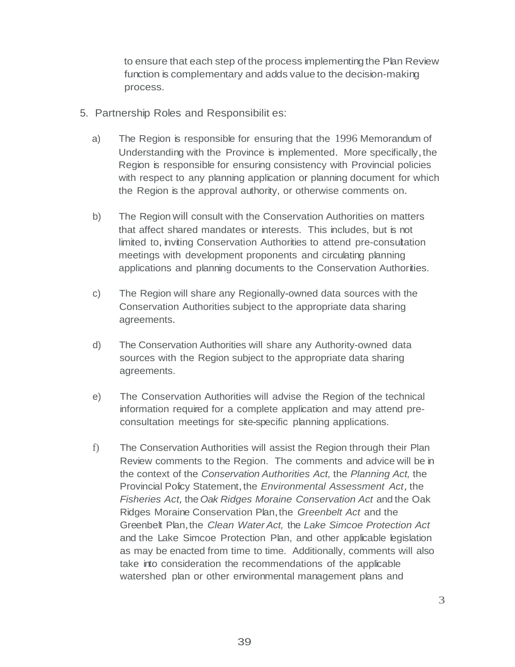to ensure that each step of the process implementing the Plan Review function is complementary and adds value to the decision-making process.

- 5. Partnership Roles and Responsibilit es:
	- a) The Region is responsible for ensuring that the 1996 Memorandum of Understanding with the Province is implemented. More specifically, the Region is responsible for ensuring consistency with Provincial policies with respect to any planning application or planning document for which the Region is the approval authority, or otherwise comments on.
	- b) The Region will consult with the Conservation Authorities on matters that affect shared mandates or interests. This includes, but is not limited to, inviting Conservation Authorities to attend pre-consultation meetings with development proponents and circulating planning applications and planning documents to the Conservation Authorities.
	- c) The Region will share any Regionally-owned data sources with the Conservation Authorities subject to the appropriate data sharing agreements.
	- d) The Conservation Authorities will share any Authority-owned data sources with the Region subject to the appropriate data sharing agreements.
	- e) The Conservation Authorities will advise the Region of the technical information required for a complete application and may attend preconsultation meetings for site-specific planning applications.
	- f) The Conservation Authorities will assist the Region through their Plan Review comments to the Region. The comments and advice will be in the context of the *Conservation Authorities Act,* the *Planning Act,* the Provincial Policy Statement, the *Environmental Assessment Act,* the *Fisheries Act,* the *Oak Ridges Moraine Conservation Act* and the Oak Ridges Moraine Conservation Plan,the *Greenbelt Act* and the Greenbelt Plan,the *Clean WaterAct,* the *Lake Simcoe Protection Act* and the Lake Simcoe Protection Plan, and other applicable legislation as may be enacted from time to time. Additionally, comments will also take into consideration the recommendations of the applicable watershed plan or other environmental management plans and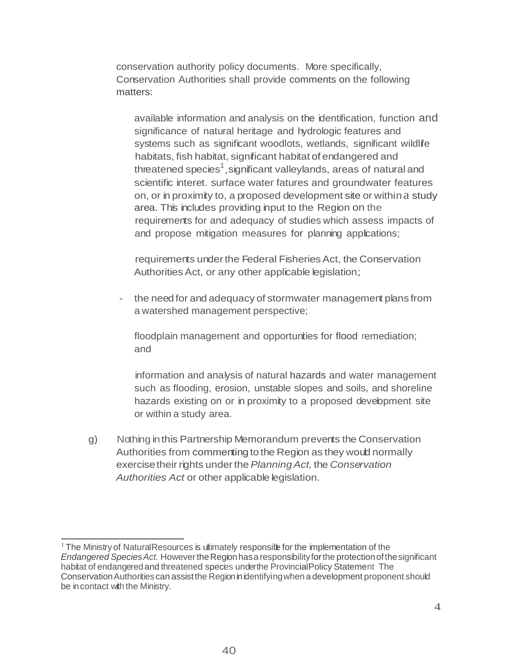conservation authority policy documents. More specifically, Conservation Authorities shall provide comments on the following matters:

threatened species<sup>1</sup>,significant valleylands, areas of natural and available information and analysis on the identification, function and significance of natural heritage and hydrologic features and systems such as significant woodlots, wetlands, significant wildlife habitats, fish habitat, significant habitat of endangered and scientific interet. surface water fatures and groundwater features on, or in proximity to, a proposed development site or withina study area. This includes providing input to the Region on the requirements for and adequacy of studies which assess impacts of and propose mitigation measures for planning applications;

requirements under the Federal Fisheries Act, the Conservation Authorities Act, or any other applicable legislation;

- the need for and adequacy of stormwater management plans from a watershed management perspective;

floodplain management and opportunties for flood remediation; and

information and analysis of natural hazards and water management such as flooding, erosion, unstable slopes and soils, and shoreline hazards existing on or in proximity to a proposed development site or within a study area.

g) Nothing inthis Partnership Memorandum prevents the Conservation Authorities from commenting to the Region as they would normally exercisetheirrights underthe*PlanningAct,* the *Conservation Authorities Act* or other applicable legislation.

 $1$  The Ministry of NaturalResources is ultimately responsite for the implementation of the *Endangered SpeciesAct.* HowevertheRegionhasa responsibilityforthe protectionofthesignificant habitat of endangered and threatened species underthe Provincial Policy Statement The Conservation Authorities can assist the Region in identifying when a development proponent should be incontact with the Ministry.